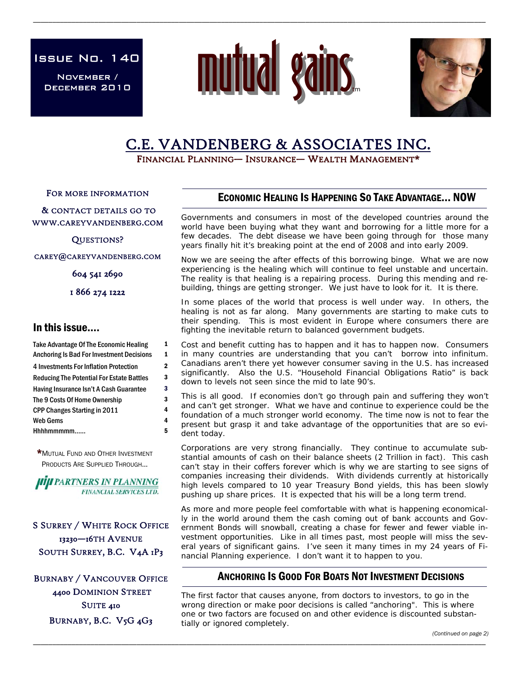Issue No. 140

November / December 2010



\_\_\_\_\_\_\_\_\_\_\_\_\_\_\_\_\_\_\_\_\_\_\_\_\_\_\_\_\_\_\_\_\_\_\_\_\_\_\_\_\_\_\_\_\_\_\_\_\_\_\_\_\_\_\_\_\_\_\_\_\_\_\_\_\_\_\_\_\_\_\_\_\_\_\_\_\_\_\_\_\_\_\_\_\_\_\_\_\_\_\_\_\_\_\_\_\_\_\_\_\_\_\_\_\_\_\_\_\_\_\_\_\_\_\_\_\_\_



# C.E. VANDENBERG & ASSOCIATES INC.<br>FINANCIAL PLANNING— INSURANCE— WEALTH MANAGEMENT\*

FOR MORE INFORMATION

 & CONTACT DETAILS GO TO WWW.CAREYVANDENBERG.COM

QUESTIONS?

CAREY@CAREYVANDENBERG.COM

604 541 2690

1 866 274 1222

# In this issue….

| <b>Take Advantage Of The Economic Healing</b>    | 1 |
|--------------------------------------------------|---|
| <b>Anchoring Is Bad For Investment Decisions</b> | 1 |
| 4 Investments For Inflation Protection           | 2 |
| <b>Reducing The Potential For Estate Battles</b> | 3 |
| Having Insurance Isn't A Cash Guarantee          | 3 |
| The 9 Costs Of Home Ownership                    | 3 |
| CPP Changes Starting in 2011                     | 4 |
| Web Gems                                         | 4 |
| Hhhhmmmmm                                        | 5 |

\*MUTUAL FUND AND OTHER INVESTMENT PRODUCTS ARE SUPPLIED THROUGH...

**JIIJI PARTNERS IN PLANNING FINANCIAL SERVICES LTD.** 

S SURREY / WHITE ROCK OFFICE 13230—16TH AVENUE SOUTH SURREY, B.C. V4A 1P3

BURNABY / VANCOUVER OFFICE 4400 DOMINION STREET SUITE 410 BURNABY, B.C. V5G 4G3

# ECONOMIC HEALING IS HAPPENING SO TAKE ADVANTAGE… NOW

Governments and consumers in most of the developed countries around the world have been buying what they want and borrowing for a little more for a few decades. The debt disease we have been going through for those many years finally hit it's breaking point at the end of 2008 and into early 2009.

Now we are seeing the after effects of this borrowing binge. What we are now experiencing is the healing which will continue to feel unstable and uncertain. The reality is that healing is a repairing process. During this mending and rebuilding, things are getting stronger. We just have to look for it. It is there.

In some places of the world that process is well under way. In others, the healing is not as far along. Many governments are starting to make cuts to their spending. This is most evident in Europe where consumers there are fighting the inevitable return to balanced government budgets.

Cost and benefit cutting has to happen and it has to happen now. Consumers in many countries are understanding that you can't borrow into infinitum. Canadians aren't there yet however consumer saving in the U.S. has increased significantly. Also the U.S. "Household Financial Obligations Ratio" is back down to levels not seen since the mid to late 90's.

This is all good. If economies don't go through pain and suffering they won't and can't get stronger. What we have and continue to experience could be the foundation of a much stronger world economy. The time now is not to fear the present but grasp it and take advantage of the opportunities that are so evident today.

Corporations are very strong financially. They continue to accumulate substantial amounts of cash on their balance sheets (2 Trillion in fact). This cash can't stay in their coffers forever which is why we are starting to see signs of companies increasing their dividends. With dividends currently at historically high levels compared to 10 year Treasury Bond yields, this has been slowly pushing up share prices. It is expected that his will be a long term trend.

As more and more people feel comfortable with what is happening economically in the world around them the cash coming out of bank accounts and Government Bonds will snowball, creating a chase for fewer and fewer viable investment opportunities. Like in all times past, most people will miss the several years of significant gains. I've seen it many times in my 24 years of Financial Planning experience. I don't want it to happen to you.

# ANCHORING IS GOOD FOR BOATS NOT INVESTMENT DECISIONS

The first factor that causes anyone, from doctors to investors, to go in the wrong direction or make poor decisions is called "anchoring". This is where one or two factors are focused on and other evidence is discounted substantially or ignored completely.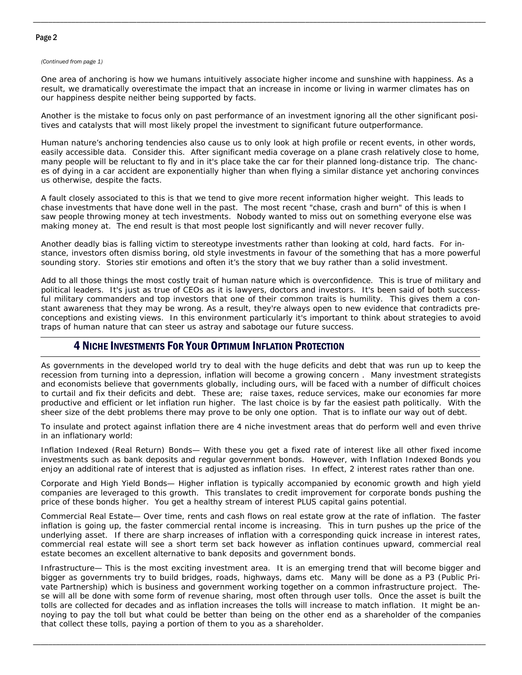#### Page 2

#### *(Continued from page 1)*

One area of anchoring is how we humans intuitively associate higher income and sunshine with happiness. As a result, we dramatically overestimate the impact that an increase in income or living in warmer climates has on our happiness despite neither being supported by facts.

\_\_\_\_\_\_\_\_\_\_\_\_\_\_\_\_\_\_\_\_\_\_\_\_\_\_\_\_\_\_\_\_\_\_\_\_\_\_\_\_\_\_\_\_\_\_\_\_\_\_\_\_\_\_\_\_\_\_\_\_\_\_\_\_\_\_\_\_\_\_\_\_\_\_\_\_\_\_\_\_\_\_\_\_\_\_\_\_\_\_\_\_\_\_\_\_\_\_\_\_\_\_\_\_\_\_\_\_\_\_\_\_\_\_\_\_\_\_

Another is the mistake to focus only on past performance of an investment ignoring all the other significant positives and catalysts that will most likely propel the investment to significant future outperformance.

Human nature's anchoring tendencies also cause us to only look at high profile or recent events, in other words, easily accessible data. Consider this. After significant media coverage on a plane crash relatively close to home, many people will be reluctant to fly and in it's place take the car for their planned long-distance trip. The chances of dying in a car accident are exponentially higher than when flying a similar distance yet anchoring convinces us otherwise, despite the facts.

A fault closely associated to this is that we tend to give more recent information higher weight. This leads to chase investments that have done well in the past. The most recent "chase, crash and burn" of this is when I saw people throwing money at tech investments. Nobody wanted to miss out on something everyone else was making money at. The end result is that most people lost significantly and will never recover fully.

Another deadly bias is falling victim to stereotype investments rather than looking at cold, hard facts. For instance, investors often dismiss boring, old style investments in favour of the something that has a more powerful sounding story. Stories stir emotions and often it's the story that we buy rather than a solid investment.

Add to all those things the most costly trait of human nature which is overconfidence. This is true of military and political leaders. It's just as true of CEOs as it is lawyers, doctors and investors. It's been said of both successful military commanders and top investors that one of their common traits is humility. This gives them a constant awareness that they may be wrong. As a result, they're always open to new evidence that contradicts preconceptions and existing views. In this environment particularly it's important to think about strategies to avoid traps of human nature that can steer us astray and sabotage our future success.

# 4 NICHE INVESTMENTS FOR YOUR OPTIMUM INFLATION PROTECTION

As governments in the developed world try to deal with the huge deficits and debt that was run up to keep the recession from turning into a depression, inflation will become a growing concern . Many investment strategists and economists believe that governments globally, including ours, will be faced with a number of difficult choices to curtail and fix their deficits and debt. These are; raise taxes, reduce services, make our economies far more productive and efficient or let inflation run higher. The last choice is by far the easiest path politically. With the sheer size of the debt problems there may prove to be only one option. That is to inflate our way out of debt.

To insulate and protect against inflation there are 4 niche investment areas that do perform well and even thrive in an inflationary world:

Inflation Indexed (Real Return) Bonds— With these you get a fixed rate of interest like all other fixed income investments such as bank deposits and regular government bonds. However, with Inflation Indexed Bonds you enjoy an additional rate of interest that is adjusted as inflation rises. In effect, 2 interest rates rather than one.

Corporate and High Yield Bonds— Higher inflation is typically accompanied by economic growth and high yield companies are leveraged to this growth. This translates to credit improvement for corporate bonds pushing the price of these bonds higher. You get a healthy stream of interest PLUS capital gains potential.

Commercial Real Estate— Over time, rents and cash flows on real estate grow at the rate of inflation. The faster inflation is going up, the faster commercial rental income is increasing. This in turn pushes up the price of the underlying asset. If there are sharp increases of inflation with a corresponding quick increase in interest rates, commercial real estate will see a short term set back however as inflation continues upward, commercial real estate becomes an excellent alternative to bank deposits and government bonds.

Infrastructure— This is the most exciting investment area. It is an emerging trend that will become bigger and bigger as governments try to build bridges, roads, highways, dams etc. Many will be done as a P3 (Public Private Partnership) which is business and government working together on a common infrastructure project. These will all be done with some form of revenue sharing, most often through user tolls. Once the asset is built the tolls are collected for decades and as inflation increases the tolls will increase to match inflation. It might be annoying to pay the toll but what could be better than being on the other end as a shareholder of the companies that collect these tolls, paying a portion of them to you as a shareholder.

\_\_\_\_\_\_\_\_\_\_\_\_\_\_\_\_\_\_\_\_\_\_\_\_\_\_\_\_\_\_\_\_\_\_\_\_\_\_\_\_\_\_\_\_\_\_\_\_\_\_\_\_\_\_\_\_\_\_\_\_\_\_\_\_\_\_\_\_\_\_\_\_\_\_\_\_\_\_\_\_\_\_\_\_\_\_\_\_\_\_\_\_\_\_\_\_\_\_\_\_\_\_\_\_\_\_\_\_\_\_\_\_\_\_\_\_\_\_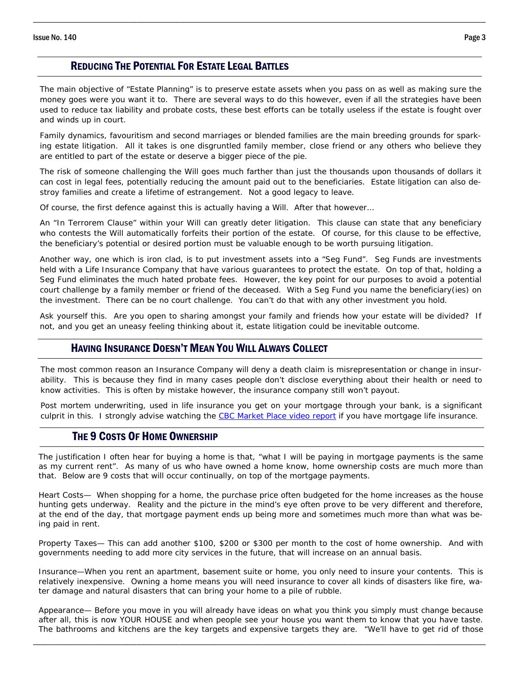#### REDUCING THE POTENTIAL FOR ESTATE LEGAL BATTLES

The main objective of "Estate Planning" is to preserve estate assets when you pass on as well as making sure the money goes were you want it to. There are several ways to do this however, even if all the strategies have been used to reduce tax liability and probate costs, these best efforts can be totally useless if the estate is fought over and winds up in court.

\_\_\_\_\_\_\_\_\_\_\_\_\_\_\_\_\_\_\_\_\_\_\_\_\_\_\_\_\_\_\_\_\_\_\_\_\_\_\_\_\_\_\_\_\_\_\_\_\_\_\_\_\_\_\_\_\_\_\_\_\_\_\_\_\_\_\_\_\_\_\_\_\_\_\_\_\_\_\_\_\_\_\_\_\_\_\_\_\_\_\_\_\_\_\_\_\_\_\_\_\_\_\_\_\_\_\_\_\_\_\_\_\_\_\_\_\_\_

Family dynamics, favouritism and second marriages or blended families are the main breeding grounds for sparking estate litigation. All it takes is one disgruntled family member, close friend or any others who believe they are entitled to part of the estate or deserve a bigger piece of the pie.

The risk of someone challenging the Will goes much farther than just the thousands upon thousands of dollars it can cost in legal fees, potentially reducing the amount paid out to the beneficiaries. Estate litigation can also destroy families and create a lifetime of estrangement. Not a good legacy to leave.

Of course, the first defence against this is actually having a Will. After that however…

An "In Terrorem Clause" within your Will can greatly deter litigation. This clause can state that any beneficiary who contests the Will automatically forfeits their portion of the estate. Of course, for this clause to be effective, the beneficiary's potential or desired portion must be valuable enough to be worth pursuing litigation.

Another way, one which is iron clad, is to put investment assets into a "Seg Fund". Seg Funds are investments held with a Life Insurance Company that have various guarantees to protect the estate. On top of that, holding a Seg Fund eliminates the much hated probate fees. However, the key point for our purposes to avoid a potential court challenge by a family member or friend of the deceased. With a Seg Fund you name the beneficiary(ies) on the investment. There can be no court challenge. You can't do that with any other investment you hold.

Ask yourself this. Are you open to sharing amongst your family and friends how your estate will be divided? If not, and you get an uneasy feeling thinking about it, estate litigation could be inevitable outcome.

## HAVING INSURANCE DOESN'T MEAN YOU WILL ALWAYS COLLECT

The most common reason an Insurance Company will deny a death claim is misrepresentation or change in insurability. This is because they find in many cases people don't disclose everything about their health or need to know activities. This is often by mistake however, the insurance company still won't payout.

Post mortem underwriting, used in life insurance you get on your mortgage through your bank, is a significant culprit in this. I strongly advise watching the CBC Market Place video report if you have mortgage life insurance.

### THE 9 COSTS OF HOME OWNERSHIP

The justification I often hear for buying a home is that, "what I will be paying in mortgage payments is the same as my current rent". As many of us who have owned a home know, home ownership costs are much more than that. Below are 9 costs that will occur continually, on top of the mortgage payments.

Heart Costs— When shopping for a home, the purchase price often budgeted for the home increases as the house hunting gets underway. Reality and the picture in the mind's eye often prove to be very different and therefore, at the end of the day, that mortgage payment ends up being more and sometimes much more than what was being paid in rent.

Property Taxes— This can add another \$100, \$200 or \$300 per month to the cost of home ownership. And with governments needing to add more city services in the future, that will increase on an annual basis.

Insurance—When you rent an apartment, basement suite or home, you only need to insure your contents. This is relatively inexpensive. Owning a home means you will need insurance to cover all kinds of disasters like fire, water damage and natural disasters that can bring your home to a pile of rubble.

Appearance— Before you move in you will already have ideas on what you think you simply must change because after all, this is now YOUR HOUSE and when people see your house you want them to know that you have taste. The bathrooms and kitchens are the key targets and expensive targets they are. "We'll have to get rid of those

\_\_\_\_\_\_\_\_\_\_\_\_\_\_\_\_\_\_\_\_\_\_\_\_\_\_\_\_\_\_\_\_\_\_\_\_\_\_\_\_\_\_\_\_\_\_\_\_\_\_\_\_\_\_\_\_\_\_\_\_\_\_\_\_\_\_\_\_\_\_\_\_\_\_\_\_\_\_\_\_\_\_\_\_\_\_\_\_\_\_\_\_\_\_\_\_\_\_\_\_\_\_\_\_\_\_\_\_\_\_\_\_\_\_\_\_\_\_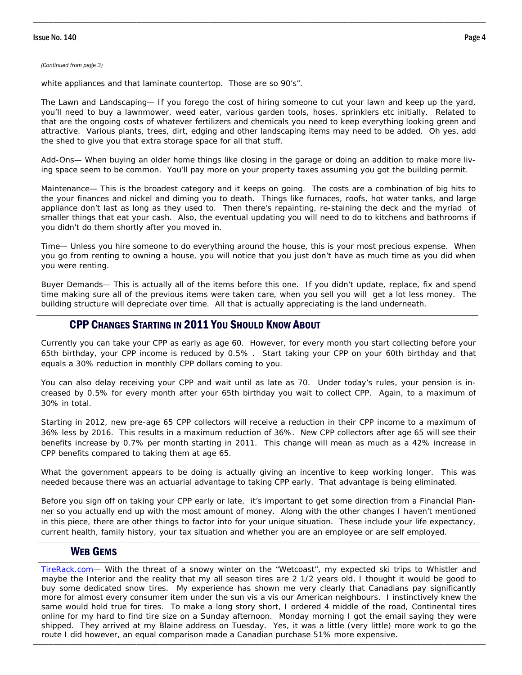#### *(Continued from page 3)*

white appliances and that laminate countertop. Those are so 90's".

The Lawn and Landscaping— If you forego the cost of hiring someone to cut your lawn and keep up the yard, you'll need to buy a lawnmower, weed eater, various garden tools, hoses, sprinklers etc initially. Related to that are the ongoing costs of whatever fertilizers and chemicals you need to keep everything looking green and attractive. Various plants, trees, dirt, edging and other landscaping items may need to be added. Oh yes, add the shed to give you that extra storage space for all that stuff.

\_\_\_\_\_\_\_\_\_\_\_\_\_\_\_\_\_\_\_\_\_\_\_\_\_\_\_\_\_\_\_\_\_\_\_\_\_\_\_\_\_\_\_\_\_\_\_\_\_\_\_\_\_\_\_\_\_\_\_\_\_\_\_\_\_\_\_\_\_\_\_\_\_\_\_\_\_\_\_\_\_\_\_\_\_\_\_\_\_\_\_\_\_\_\_\_\_\_\_\_\_\_\_\_\_\_\_\_\_\_\_\_\_\_\_\_\_\_

Add-Ons— When buying an older home things like closing in the garage or doing an addition to make more living space seem to be common. You'll pay more on your property taxes assuming you got the building permit.

Maintenance— This is the broadest category and it keeps on going. The costs are a combination of big hits to the your finances and nickel and diming you to death. Things like furnaces, roofs, hot water tanks, and large appliance don't last as long as they used to. Then there's repainting, re-staining the deck and the myriad of smaller things that eat your cash. Also, the eventual updating you will need to do to kitchens and bathrooms if you didn't do them shortly after you moved in.

Time— Unless you hire someone to do everything around the house, this is your most precious expense. When you go from renting to owning a house, you will notice that you just don't have as much time as you did when you were renting.

Buyer Demands— This is actually all of the items before this one. If you didn't update, replace, fix and spend time making sure all of the previous items were taken care, when you sell you will get a lot less money. The building structure will depreciate over time. All that is actually appreciating is the land underneath.

### CPP CHANGES STARTING IN 2011 YOU SHOULD KNOW ABOUT

Currently you can take your CPP as early as age 60. However, for every month you start collecting before your 65th birthday, your CPP income is reduced by 0.5% . Start taking your CPP on your 60th birthday and that equals a 30% reduction in monthly CPP dollars coming to you.

You can also delay receiving your CPP and wait until as late as 70. Under today's rules, your pension is increased by 0.5% for every month after your 65th birthday you wait to collect CPP. Again, to a maximum of 30% in total.

Starting in 2012, new pre-age 65 CPP collectors will receive a reduction in their CPP income to a maximum of 36% less by 2016. This results in a maximum reduction of 36%. New CPP collectors after age 65 will see their benefits increase by 0.7% per month starting in 2011. This change will mean as much as a 42% increase in CPP benefits compared to taking them at age 65.

What the government appears to be doing is actually giving an incentive to keep working longer. This was needed because there was an actuarial advantage to taking CPP early. That advantage is being eliminated.

Before you sign off on taking your CPP early or late, it's important to get some direction from a Financial Planner so you actually end up with the most amount of money. Along with the other changes I haven't mentioned in this piece, there are other things to factor into for your unique situation. These include your life expectancy, current health, family history, your tax situation and whether you are an employee or are self employed.

#### WEB GEMS

\_\_\_\_\_\_\_\_\_\_\_\_\_\_\_\_\_\_\_\_\_\_\_\_\_\_\_\_\_\_\_\_\_\_\_\_\_\_\_\_\_\_\_\_\_\_\_\_\_\_\_\_\_\_\_\_\_\_\_\_\_\_\_\_\_\_\_\_\_\_\_\_\_\_\_\_\_\_\_\_\_\_\_\_\_\_\_\_\_\_\_\_\_\_\_\_\_\_\_\_\_\_\_\_\_\_\_\_\_\_\_\_\_\_\_\_\_\_ TireRack.com— With the threat of a snowy winter on the "Wetcoast", my expected ski trips to Whistler and maybe the Interior and the reality that my all season tires are 2 1/2 years old, I thought it would be good to buy some dedicated snow tires. My experience has shown me very clearly that Canadians pay significantly more for almost every consumer item under the sun vis a vis our American neighbours. I instinctively knew the same would hold true for tires. To make a long story short, I ordered 4 middle of the road, Continental tires online for my hard to find tire size on a Sunday afternoon. Monday morning I got the email saying they were shipped. They arrived at my Blaine address on Tuesday. Yes, it was a little (very little) more work to go the route I did however, an equal comparison made a Canadian purchase 51% more expensive.